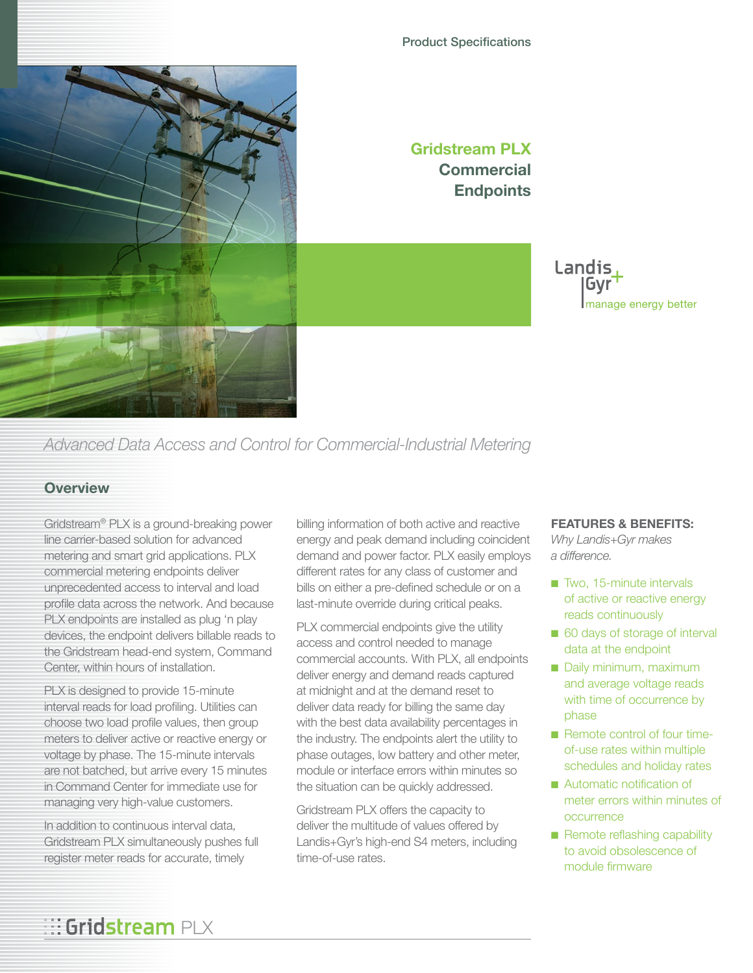#### Product Specifications



### **Gridstream PLX Commercial Endpoints**

Landis Gvr manage energy better

## *Advanced Data Access and Control for Commercial-Industrial Metering*

### **Overview**

Gridstream® PLX is a ground-breaking power line carrier-based solution for advanced metering and smart grid applications. PLX commercial metering endpoints deliver unprecedented access to interval and load profile data across the network. And because PLX endpoints are installed as plug 'n play devices, the endpoint delivers billable reads to the Gridstream head-end system, Command Center, within hours of installation.

PLX is designed to provide 15-minute interval reads for load profiling. Utilities can choose two load profile values, then group meters to deliver active or reactive energy or voltage by phase. The 15-minute intervals are not batched, but arrive every 15 minutes in Command Center for immediate use for managing very high-value customers.

In addition to continuous interval data, Gridstream PLX simultaneously pushes full register meter reads for accurate, timely

billing information of both active and reactive energy and peak demand including coincident demand and power factor. PLX easily employs different rates for any class of customer and bills on either a pre-defined schedule or on a last-minute override during critical peaks.

PLX commercial endpoints give the utility access and control needed to manage commercial accounts. With PLX, all endpoints deliver energy and demand reads captured at midnight and at the demand reset to deliver data ready for billing the same day with the best data availability percentages in the industry. The endpoints alert the utility to phase outages, low battery and other meter, module or interface errors within minutes so the situation can be quickly addressed.

Gridstream PLX offers the capacity to deliver the multitude of values offered by Landis+Gyr's high-end S4 meters, including time-of-use rates.

#### **FEATURES & BENEFITS:**

*Why Landis+Gyr makes a difference.*

- Two, 15-minute intervals of active or reactive energy reads continuously
- 60 days of storage of interval data at the endpoint
- Daily minimum, maximum and average voltage reads with time of occurrence by phase
- Remote control of four timeof-use rates within multiple schedules and holiday rates
- Automatic notification of meter errors within minutes of occurrence
- Remote reflashing capability to avoid obsolescence of module firmware